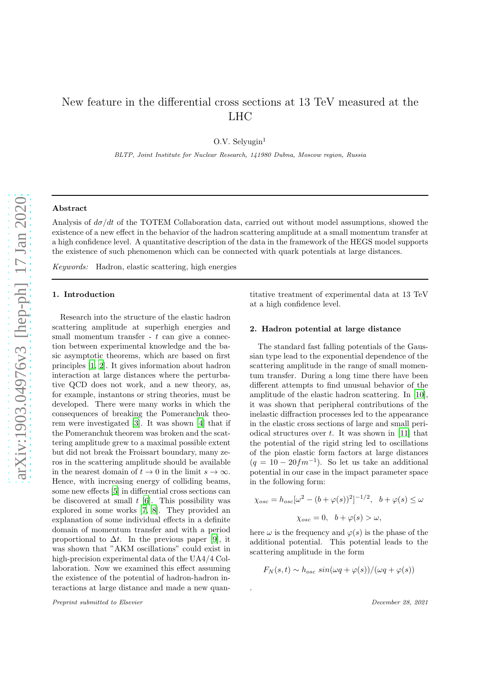# New feature in the differential cross sections at 13 TeV measured at the LHC

O.V. Selyugin $<sup>1</sup>$ </sup>

BLTP, Joint Institute for Nuclear Research, 141980 Dubna, Moscow region, Russia

#### Abstract

Analysis of  $d\sigma/dt$  of the TOTEM Collaboration data, carried out without model assumptions, showed the existence of a new effect in the behavior of the hadron scattering amplitude at a small momentum transfer at a high confidence level. A quantitative description of the data in the framework of the HEGS model supports the existence of such phenomenon which can be connected with quark potentials at large distances.

.

Keywords: Hadron, elastic scattering, high energies

#### 1. Introduction

Research into the structure of the elastic hadron scattering amplitude at superhigh energies and small momentum transfer  $- t$  can give a connection between experimental knowledge and the basic asymptotic theorems, which are based on first principles [\[1](#page-4-0), [2](#page-4-1)]. It gives information about hadron interaction at large distances where the perturbative QCD does not work, and a new theory, as, for example, instantons or string theories, must be developed. There were many works in which the consequences of breaking the Pomeranchuk theorem were investigated [\[3](#page-4-2)]. It was shown [\[4\]](#page-4-3) that if the Pomeranchuk theorem was broken and the scattering amplitude grew to a maximal possible extent but did not break the Froissart boundary, many zeros in the scattering amplitude should be available in the nearest domain of  $t \to 0$  in the limit  $s \to \infty$ . Hence, with increasing energy of colliding beams, some new effects [\[5\]](#page-4-4) in differential cross sections can be discovered at small  $t$  [\[6](#page-4-5)]. This possibility was explored in some works [\[7](#page-4-6), [8\]](#page-4-7). They provided an explanation of some individual effects in a definite domain of momentum transfer and with a period proportional to  $\Delta t$ . In the previous paper [\[9\]](#page-4-8), it was shown that "AKM oscillations" could exist in high-precision experimental data of the UA4/4 Collaboration. Now we examined this effect assuming the existence of the potential of hadron-hadron interactions at large distance and made a new quan-

Preprint submitted to Elsevier and the extension of the December 28, 2021

titative treatment of experimental data at 13 TeV at a high confidence level.

#### 2. Hadron potential at large distance

The standard fast falling potentials of the Gaussian type lead to the exponential dependence of the scattering amplitude in the range of small momentum transfer. During a long time there have been different attempts to find unusual behavior of the amplitude of the elastic hadron scattering. In [\[10](#page-4-9)], it was shown that peripheral contributions of the inelastic diffraction processes led to the appearance in the elastic cross sections of large and small periodical structures over  $t$ . It was shown in [\[11](#page-4-10)] that the potential of the rigid string led to oscillations of the pion elastic form factors at large distances  $(q = 10 - 20fm^{-1})$ . So let us take an additional potential in our case in the impact parameter space in the following form:

$$
\chi_{osc} = h_{osc}[\omega^2 - (b + \varphi(s))^2]^{-1/2}, \quad b + \varphi(s) \le \omega
$$

$$
\chi_{osc} = 0, \quad b + \varphi(s) > \omega,
$$

here  $\omega$  is the frequency and  $\varphi(s)$  is the phase of the additional potential. This potential leads to the scattering amplitude in the form

$$
F_N(s,t) \sim h_{osc} \sin(\omega q + \varphi(s))/(\omega q + \varphi(s))
$$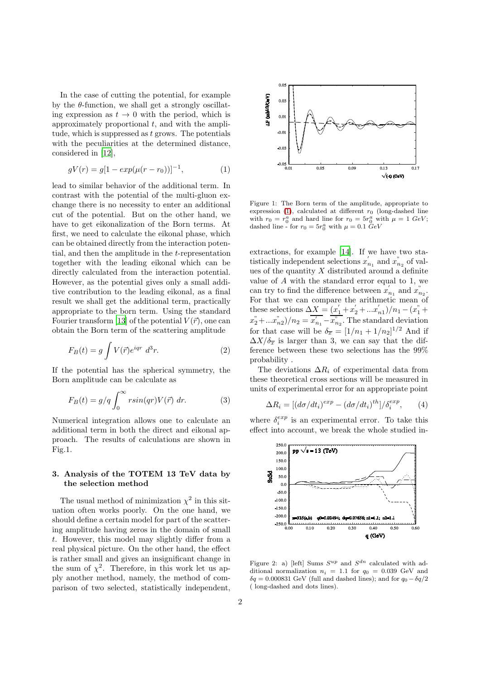In the case of cutting the potential, for example by the  $\theta$ -function, we shall get a strongly oscillating expression as  $t \to 0$  with the period, which is approximately proportional  $t$ , and with the amplitude, which is suppressed as  $t$  grows. The potentials with the peculiarities at the determined distance, considered in [\[12\]](#page-4-11),

<span id="page-1-0"></span>
$$
gV(r) = g[1 - exp(\mu(r - r_0))]^{-1}, \qquad (1)
$$

lead to similar behavior of the additional term. In contrast with the potential of the multi-gluon exchange there is no necessity to enter an additional cut of the potential. But on the other hand, we have to get eikonalization of the Born terms. At first, we need to calculate the eikonal phase, which can be obtained directly from the interaction potential, and then the amplitude in the t-representation together with the leading eikonal which can be directly calculated from the interaction potential. However, as the potential gives only a small additive contribution to the leading eikonal, as a final result we shall get the additional term, practically appropriate to the born term. Using the standard Fourier transform [\[13\]](#page-4-12) of the potential  $V(\vec{r})$ , one can obtain the Born term of the scattering amplitude

$$
F_B(t) = g \int V(\vec{r}) e^{iqr} d^3r.
$$
 (2)

If the potential has the spherical symmetry, the Born amplitude can be calculate as

$$
F_B(t) = g/q \int_0^\infty r \sin(qr) V(\vec{r}) dr.
$$
 (3)

Numerical integration allows one to calculate an additional term in both the direct and eikonal approach. The results of calculations are shown in Fig.1.

## 3. Analysis of the TOTEM 13 TeV data by the selection method

The usual method of minimization  $\chi^2$  in this situation often works poorly. On the one hand, we should define a certain model for part of the scattering amplitude having zeros in the domain of small t. However, this model may slightly differ from a real physical picture. On the other hand, the effect is rather small and gives an insignificant change in the sum of  $\chi^2$ . Therefore, in this work let us apply another method, namely, the method of comparison of two selected, statistically independent,



Figure 1: The Born term of the amplitude, appropriate to expression [\(1\)](#page-1-0), calculated at different  $r_0$  (long-dashed line with  $r_0 = r_0^a$  and hard line for  $r_0 = 5r_0^a$  with  $\mu = 1$  GeV; dashed line - for  $r_0 = 5r_0^a$  with  $\mu = 0.1$   $\ddot{G}eV$ 

extractions, for example  $[14]$ . If we have two statistically independent selections  $x'_{n_1}$  and  $x''_{n_2}$  of values of the quantity  $X$  distributed around a definite value of A with the standard error equal to 1, we can try to find the difference between  $x'$  $n_1$  and  $x_{n_2}$ . For that we can compare the arithmetic mean of these selections  $\Delta X = (x_1' + x_2' + ... x_{n1}')/n_1 - (x_1'' +$  $(x_2^{"} + ... x_{n2}^{"})/n_2 = \overline{x'_{n_1} - x_{n_2}^{"}}$ . The standard deviation for that case will be  $\delta_{\overline{x}} = [1/n_1 + 1/n_2]^{1/2}$  And if  $\Delta X/\delta_{\overline{x}}$  is larger than 3, we can say that the difference between these two selections has the 99% probability .

The deviations  $\Delta R_i$  of experimental data from these theoretical cross sections will be measured in units of experimental error for an appropriate point

$$
\Delta R_i = \left[ (d\sigma/dt_i)^{exp} - (d\sigma/dt_i)^{th} \right] / \delta_i^{exp}, \qquad (4)
$$

where  $\delta_i^{exp}$  is an experimental error. To take this effect into account, we break the whole studied in-



Figure 2: a) [left] Sums  $S^{up}$  and  $S^{dn}$  calculated with additional normalization  $n_i = 1.1$  for  $q_0 = 0.039$  GeV and  $\delta q = 0.000831$  GeV (full and dashed lines); and for  $q_0 - \delta q/2$ ( long-dashed and dots lines).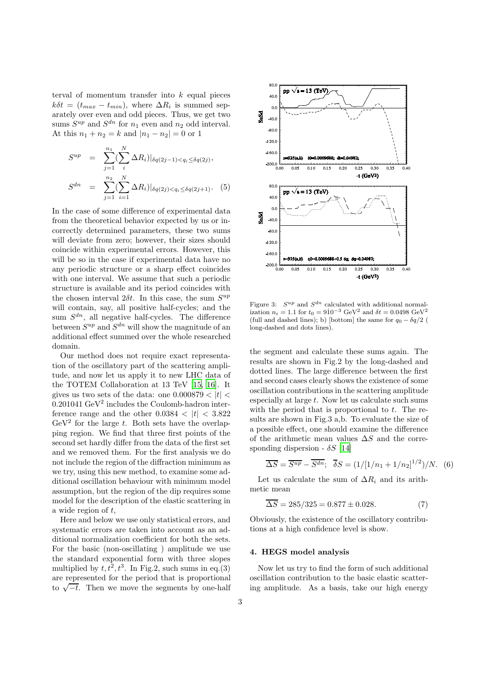terval of momentum transfer into  $k$  equal pieces  $k\delta t = (t_{max} - t_{min}),$  where  $\Delta R_i$  is summed separately over even and odd pieces. Thus, we get two sums  $S^{up}$  and  $S^{dn}$  for  $n_1$  even and  $n_2$  odd interval. At this  $n_1 + n_2 = k$  and  $|n_1 - n_2| = 0$  or 1

$$
S^{up} = \sum_{j=1}^{n_1} \left( \sum_{i=1}^{N} \Delta R_i \right) |_{\delta q(2j-1) < q_i \leq \delta q(2j)},
$$
\n
$$
S^{dn} = \sum_{j=1}^{n_2} \left( \sum_{i=1}^{N} \Delta R_i \right) |_{\delta q(2j) < q_i \leq \delta q(2j+1)}.
$$
\n
$$
(5)
$$

In the case of some difference of experimental data from the theoretical behavior expected by us or incorrectly determined parameters, these two sums will deviate from zero; however, their sizes should coincide within experimental errors. However, this will be so in the case if experimental data have no any periodic structure or a sharp effect coincides with one interval. We assume that such a periodic structure is available and its period coincides with the chosen interval  $2\delta t$ . In this case, the sum  $S^{up}$ will contain, say, all positive half-cycles; and the sum  $S^{dn}$ , all negative half-cycles. The difference between  $S^{up}$  and  $S^{dn}$  will show the magnitude of an additional effect summed over the whole researched domain.

Our method does not require exact representation of the oscillatory part of the scattering amplitude, and now let us apply it to new LHC data of the TOTEM Collaboration at 13 TeV [\[15,](#page-5-0) [16](#page-5-1)]. It gives us two sets of the data: one  $0.000879 < |t| <$  $0.201041 \text{ GeV}^2$  includes the Coulomb-hadron interference range and the other  $0.0384 < |t| < 3.822$  $GeV<sup>2</sup>$  for the large t. Both sets have the overlapping region. We find that three first points of the second set hardly differ from the data of the first set and we removed them. For the first analysis we do not include the region of the diffraction minimum as we try, using this new method, to examine some additional oscillation behaviour with minimum model assumption, but the region of the dip requires some model for the description of the elastic scattering in a wide region of t,

Here and below we use only statistical errors, and systematic errors are taken into account as an additional normalization coefficient for both the sets. For the basic (non-oscillating ) amplitude we use the standard exponential form with three slopes multiplied by  $t, t^2, t^3$ . In Fig.2, such sums in eq.(3) are represented for the period that is proportional to  $\sqrt{-t}$ . Then we move the segments by one-half



Figure 3:  $S^{up}$  and  $S^{dn}$  calculated with additional normalization  $n_i = 1.1$  for  $t_0 = 910^{-3}$  GeV<sup>2</sup> and  $\delta t = 0.0498$  GeV<sup>2</sup> (full and dashed lines); b) [bottom] the same for  $q_0 - \delta q/2$  ( long-dashed and dots lines).

the segment and calculate these sums again. The results are shown in Fig.2 by the long-dashed and dotted lines. The large difference between the first and second cases clearly shows the existence of some oscillation contributions in the scattering amplitude especially at large  $t$ . Now let us calculate such sums with the period that is proportional to  $t$ . The results are shown in Fig.3 a,b. To evaluate the size of a possible effect, one should examine the difference of the arithmetic mean values  $\Delta S$  and the corresponding dispersion -  $\delta S$  [\[14](#page-4-13)]

$$
\overline{\Delta S} = \overline{S^{up}} - \overline{S^{dn}}; \quad \overline{\delta S} = (1/[1/n_1 + 1/n_2]^{1/2})/N. \quad (6)
$$

Let us calculate the sum of  $\Delta R_i$  and its arithmetic mean

$$
\overline{\Delta S} = 285/325 = 0.877 \pm 0.028. \tag{7}
$$

Obviously, the existence of the oscillatory contributions at a high confidence level is show.

#### 4. HEGS model analysis

Now let us try to find the form of such additional oscillation contribution to the basic elastic scattering amplitude. As a basis, take our high energy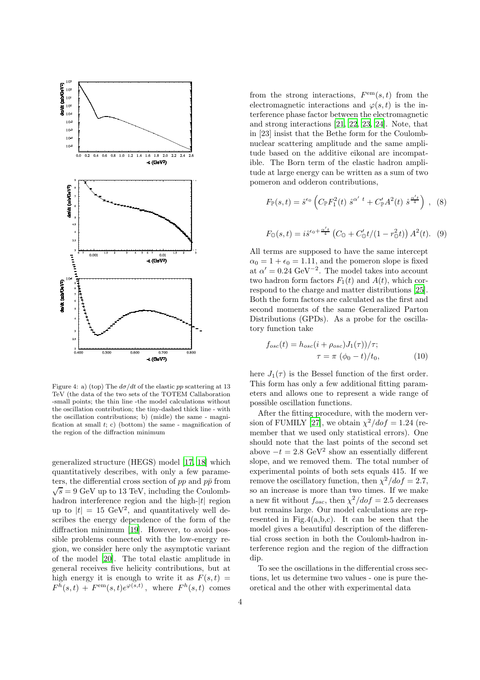

Figure 4: a) (top) The  $d\sigma/dt$  of the elastic pp scattering at 13 TeV (the data of the two sets of the TOTEM Callaboration -small points; the thin line -the model calculations without the oscillation contribution; the tiny-dashed thick line - with the oscillation contributions; b) (midle) the same - magnification at small  $t$ ; c) (bottom) the same - magnification of the region of the diffraction minimum

generalized structure (HEGS) model [\[17,](#page-5-2) [18\]](#page-5-3) which quantitatively describes, with only a few parameters, the differential cross section of  $pp$  and  $p\bar{p}$  from  $\sqrt{s}$  = 9 GeV up to 13 TeV, including the Coulombhadron interference region and the high- $|t|$  region up to  $|t| = 15 \text{ GeV}^2$ , and quantitatively well describes the energy dependence of the form of the diffraction minimum [\[19](#page-5-4)]. However, to avoid possible problems connected with the low-energy region, we consider here only the asymptotic variant of the model [\[20](#page-5-5)]. The total elastic amplitude in general receives five helicity contributions, but at high energy it is enough to write it as  $F(s,t) =$  $F^h(s,t) + F<sup>em</sup>(s,t)e^{\varphi(s,t)}$ , where  $F^h(s,t)$  comes

from the strong interactions,  $F<sup>em</sup>(s,t)$  from the electromagnetic interactions and  $\varphi(s,t)$  is the interference phase factor between the electromagnetic and strong interactions [\[21,](#page-5-6) [22,](#page-5-7) [23,](#page-5-8) [24](#page-5-9)]. Note, that in [23] insist that the Bethe form for the Coulombnuclear scattering amplitude and the same amplitude based on the additive eikonal are incompatible. The Born term of the elastic hadron amplitude at large energy can be written as a sum of two pomeron and odderon contributions,

$$
F_{\mathbb{P}}(s,t) = \hat{s}^{\epsilon_0} \left( C_{\mathbb{P}} F_1^2(t) \ \hat{s}^{\alpha' \ t} + C_{\mathbb{P}}' A^2(t) \ \hat{s}^{\frac{\alpha' t}{4}} \right) \ , \ (8)
$$

$$
F_{\mathbb{O}}(s,t) = i\hat{s}^{\epsilon_0 + \frac{\alpha' t}{4}} \left( C_{\mathbb{O}} + C'_{\mathbb{O}} t / (1 - r_{\mathbb{O}}^2 t) \right) A^2(t). \tag{9}
$$

All terms are supposed to have the same intercept  $\alpha_0 = 1 + \epsilon_0 = 1.11$ , and the pomeron slope is fixed at  $\alpha' = 0.24 \text{ GeV}^{-2}$ . The model takes into account two hadron form factors  $F_1(t)$  and  $A(t)$ , which correspond to the charge and matter distributions [\[25](#page-5-10)]. Both the form factors are calculated as the first and second moments of the same Generalized Parton Distributions (GPDs). As a probe for the oscillatory function take

$$
f_{osc}(t) = h_{osc}(i + \rho_{osc})J_1(\tau)/\tau;
$$
  

$$
\tau = \pi \ (\phi_0 - t)/t_0,
$$
 (10)

here  $J_1(\tau)$  is the Bessel function of the first order. This form has only a few additional fitting parameters and allows one to represent a wide range of possible oscillation functions.

After the fitting procedure, with the modern ver-sion of FUMILY [\[27](#page-5-11)], we obtain  $\chi^2/dof = 1.24$  (remember that we used only statistical errors). One should note that the last points of the second set above  $-t = 2.8 \text{ GeV}^2$  show an essentially different slope, and we removed them. The total number of experimental points of both sets equals 415. If we remove the oscillatory function, then  $\chi^2/dof = 2.7$ , so an increase is more than two times. If we make a new fit without  $f_{osc}$ , then  $\chi^2/dof = 2.5$  decreases but remains large. Our model calculations are represented in Fig.4(a,b,c). It can be seen that the model gives a beautiful description of the differential cross section in both the Coulomb-hadron interference region and the region of the diffraction dip.

To see the oscillations in the differential cross sections, let us determine two values - one is pure theoretical and the other with experimental data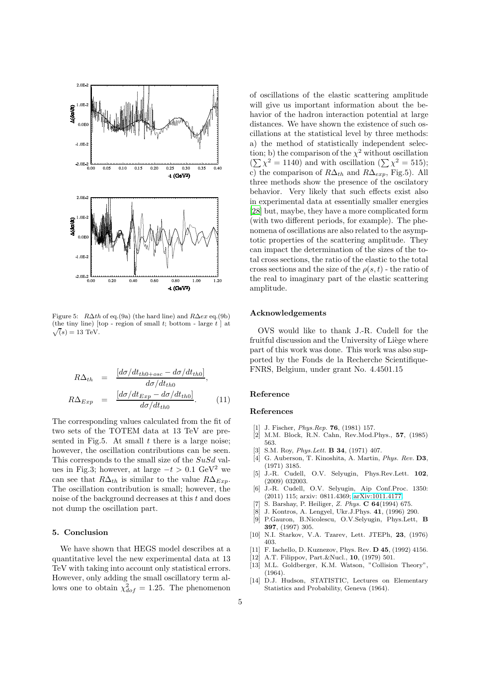

Figure 5:  $R\Delta th$  of eq.(9a) (the hard line) and  $R\Delta ex$  eq.(9b)  $\sqrt(s) = 13$  TeV. (the tiny line) [top - region of small t; bottom - large  $t$  ] at

$$
R\Delta_{th} = \frac{[d\sigma/dt_{th0+osc} - d\sigma/dt_{th0}]}{d\sigma/dt_{th0}},
$$
  

$$
R\Delta_{Exp} = \frac{[d\sigma/dt_{Exp} - d\sigma/dt_{th0}]}{d\sigma/dt_{th0}}.
$$
 (11)

The corresponding values calculated from the fit of two sets of the TOTEM data at 13 TeV are presented in Fig.5. At small  $t$  there is a large noise; however, the oscillation contributions can be seen. This corresponds to the small size of the SuSd values in Fig.3; however, at large  $-t > 0.1 \text{ GeV}^2$  we can see that  $R\Delta_{th}$  is similar to the value  $R\Delta_{Exp}$ . The oscillation contribution is small; however, the noise of the background decreases at this  $t$  and does not dump the oscillation part.

#### 5. Conclusion

We have shown that HEGS model describes at a quantitative level the new experimental data at 13 TeV with taking into account only statistical errors. However, only adding the small oscillatory term allows one to obtain  $\chi_{dof}^2 = 1.25$ . The phenomenon of oscillations of the elastic scattering amplitude will give us important information about the behavior of the hadron interaction potential at large distances. We have shown the existence of such oscillations at the statistical level by three methods: a) the method of statistically independent selection; b) the comparison of the  $\chi^2$  without oscillation  $(\sum \chi^2 = 1140)$  and with oscillation  $(\sum \chi^2 = 515)$ ; c) the comparison of  $R\Delta_{th}$  and  $R\Delta_{exp}$ , Fig.5). All three methods show the presence of the oscilatory behavior. Very likely that such effects exist also in experimental data at essentially smaller energies [\[28](#page-5-12)] but, maybe, they have a more complicated form (with two different periods, for example). The phenomena of oscillations are also related to the asymptotic properties of the scattering amplitude. They can impact the determination of the sizes of the total cross sections, the ratio of the elastic to the total cross sections and the size of the  $\rho(s,t)$  - the ratio of the real to imaginary part of the elastic scattering amplitude.

#### Acknowledgements

OVS would like to thank J.-R. Cudell for the fruitful discussion and the University of Liège where part of this work was done. This work was also supported by the Fonds de la Recherche Scientifique-FNRS, Belgium, under grant No. 4.4501.15

### Reference

#### References

- <span id="page-4-0"></span>J. Fischer, *Phys.Rep.* **76**, (1981) 157.
- <span id="page-4-1"></span>[2] M.M. Block, R.N. Cahn, Rev.Mod.Phys., 57, (1985) 563.
- <span id="page-4-2"></span>S.M. Roy, *Phys.Lett.* **B 34**, (1971) 407.
- <span id="page-4-3"></span>[4] G. Auberson, T. Kinoshita, A. Martin, Phys. Rev. D3, (1971) 3185.
- <span id="page-4-4"></span>[5] J.-R. Cudell, O.V. Selyugin, Phys.Rev.Lett. 102, (2009) 032003.
- <span id="page-4-5"></span>[6] J.-R. Cudell, O.V. Selyugin, Aip Conf.Proc. 1350: (2011) 115; arxiv: 0811.4369; [arXiv:1011.4177.](http://arxiv.org/abs/1011.4177)
- <span id="page-4-6"></span>[7] S. Barshay, P. Heiliger, Z. Phys. C 64(1994) 675.
- <span id="page-4-7"></span>[8] J. Kontros, A. Lengyel, Ukr.J.Phys. 41, (1996) 290.
- <span id="page-4-8"></span>[9] P.Gauron, B.Nicolescu, O.V.Selyugin, Phys.Lett, B 397, (1997) 305.
- <span id="page-4-9"></span>[10] N.I. Starkov, V.A. Tzarev, Lett. JTEPh, 23, (1976) 403.
- <span id="page-4-10"></span>[11] F. Iachello, D. Kuznezov, Phys. Rev. D 45, (1992) 4156.
- <span id="page-4-11"></span>[12] A.T. Filippov, Part.&Nucl., 10, (1979) 501.
- <span id="page-4-12"></span>[13] M.L. Goldberger, K.M. Watson, "Collision Theory", (1964).
- <span id="page-4-13"></span>[14] D.J. Hudson, STATISTIC, Lectures on Elementary Statistics and Probability, Geneva (1964).